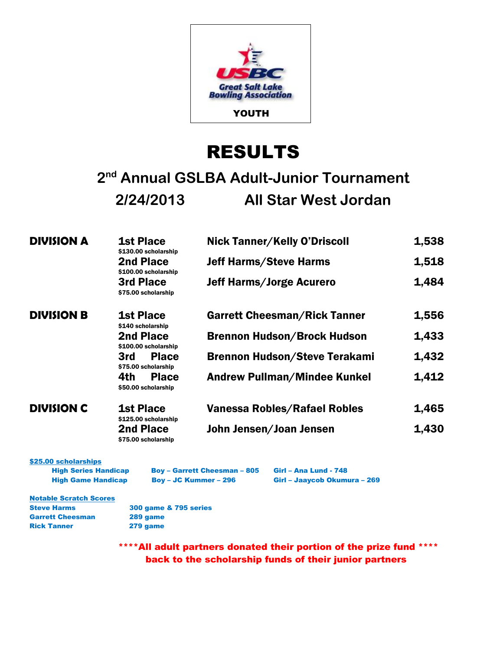

# RESULTS

## **2 nd Annual GSLBA Adult-Junior Tournament 2/24/2013 All Star West Jordan**

| <b>DIVISION A</b> | <b>1st Place</b><br>\$130.00 scholarship   | <b>Nick Tanner/Kelly O'Driscoll</b>  | 1,538 |
|-------------------|--------------------------------------------|--------------------------------------|-------|
|                   | 2nd Place<br>\$100.00 scholarship          | <b>Jeff Harms/Steve Harms</b>        | 1,518 |
|                   | 3rd Place<br>\$75.00 scholarship           | <b>Jeff Harms/Jorge Acurero</b>      | 1,484 |
| <b>DIVISION B</b> | <b>1st Place</b><br>\$140 scholarship      | <b>Garrett Cheesman/Rick Tanner</b>  | 1,556 |
|                   | <b>2nd Place</b><br>\$100.00 scholarship   | <b>Brennon Hudson/Brock Hudson</b>   | 1,433 |
|                   | <b>Place</b><br>3rd<br>\$75.00 scholarship | <b>Brennon Hudson/Steve Terakami</b> | 1,432 |
|                   | 4th<br><b>Place</b><br>\$50.00 scholarship | <b>Andrew Pullman/Mindee Kunkel</b>  | 1,412 |
| <b>DIVISION C</b> | <b>1st Place</b><br>\$125.00 scholarship   | <b>Vanessa Robles/Rafael Robles</b>  | 1,465 |
|                   | <b>2nd Place</b><br>\$75.00 scholarship    | John Jensen/Joan Jensen              | 1,430 |

\$25.00 scholarships High Series Handicap Boy – Garrett Cheesman – 805 Girl – Ana Lund - 748

High Game Handicap Boy – JC Kummer – 296 Girl – Jaaycob Okumura – 269

Notable Scratch Scores Steve Harms 300 game & 795 series Garrett Cheesman 289 game Rick Tanner 279 game

\*\*\*\*All adult partners donated their portion of the prize fund \*\*\*\* back to the scholarship funds of their junior partners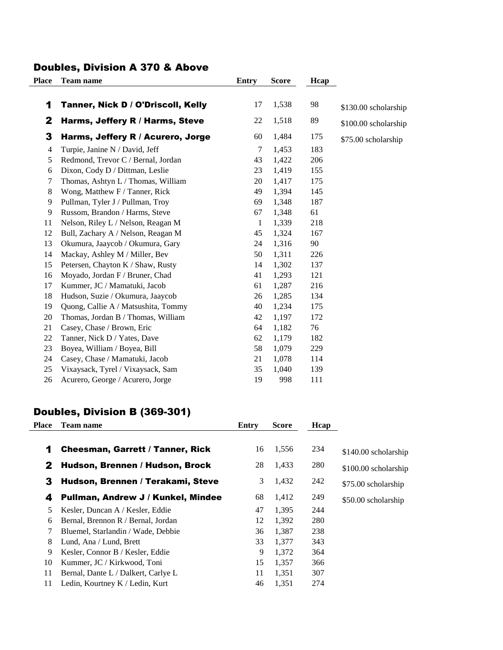#### Doubles, Division A 370 & Above

| Place | <b>Team name</b>                    | <b>Entry</b> | <b>Score</b> | Hcap |                      |
|-------|-------------------------------------|--------------|--------------|------|----------------------|
| 1     | Tanner, Nick D / O'Driscoll, Kelly  | 17           | 1,538        | 98   | \$130.00 scholarship |
| 2     | Harms, Jeffery R / Harms, Steve     | 22           | 1,518        | 89   | \$100.00 scholarship |
| 3     | Harms, Jeffery R / Acurero, Jorge   | 60           | 1,484        | 175  | \$75.00 scholarship  |
| 4     | Turpie, Janine N / David, Jeff      | 7            | 1,453        | 183  |                      |
| 5     | Redmond, Trevor C / Bernal, Jordan  | 43           | 1,422        | 206  |                      |
| 6     | Dixon, Cody D / Dittman, Leslie     | 23           | 1,419        | 155  |                      |
| 7     | Thomas, Ashtyn L / Thomas, William  | 20           | 1,417        | 175  |                      |
| 8     | Wong, Matthew F / Tanner, Rick      | 49           | 1,394        | 145  |                      |
| 9     | Pullman, Tyler J / Pullman, Troy    | 69           | 1,348        | 187  |                      |
| 9     | Russom, Brandon / Harms, Steve      | 67           | 1,348        | 61   |                      |
| 11    | Nelson, Riley L / Nelson, Reagan M  | $\mathbf{1}$ | 1,339        | 218  |                      |
| 12    | Bull, Zachary A / Nelson, Reagan M  | 45           | 1,324        | 167  |                      |
| 13    | Okumura, Jaaycob / Okumura, Gary    | 24           | 1,316        | 90   |                      |
| 14    | Mackay, Ashley M / Miller, Bev      | 50           | 1,311        | 226  |                      |
| 15    | Petersen, Chayton K / Shaw, Rusty   | 14           | 1,302        | 137  |                      |
| 16    | Moyado, Jordan F / Bruner, Chad     | 41           | 1,293        | 121  |                      |
| 17    | Kummer, JC / Mamatuki, Jacob        | 61           | 1,287        | 216  |                      |
| 18    | Hudson, Suzie / Okumura, Jaaycob    | 26           | 1,285        | 134  |                      |
| 19    | Quong, Callie A / Matsushita, Tommy | 40           | 1,234        | 175  |                      |
| 20    | Thomas, Jordan B / Thomas, William  | 42           | 1,197        | 172  |                      |
| 21    | Casey, Chase / Brown, Eric          | 64           | 1,182        | 76   |                      |
| 22    | Tanner, Nick D / Yates, Dave        | 62           | 1,179        | 182  |                      |
| 23    | Boyea, William / Boyea, Bill        | 58           | 1,079        | 229  |                      |
| 24    | Casey, Chase / Mamatuki, Jacob      | 21           | 1,078        | 114  |                      |
| 25    | Vixaysack, Tyrel / Vixaysack, Sam   | 35           | 1,040        | 139  |                      |
| 26    | Acurero, George / Acurero, Jorge    | 19           | 998          | 111  |                      |

#### Doubles, Division B (369-301)

| <b>Place</b> | <b>Team name</b>                        | Entry | <b>Score</b> | Hcap |                      |
|--------------|-----------------------------------------|-------|--------------|------|----------------------|
| 1            | <b>Cheesman, Garrett / Tanner, Rick</b> | 16    | 1,556        | 234  | \$140.00 scholarship |
| 2            | Hudson, Brennen / Hudson, Brock         | 28    | 1,433        | 280  | \$100.00 scholarship |
| 3            | Hudson, Brennen / Terakami, Steve       | 3     | 1,432        | 242  | \$75.00 scholarship  |
| 4            | Pullman, Andrew J / Kunkel, Mindee      | 68    | 1,412        | 249  | \$50.00 scholarship  |
| 5            | Kesler, Duncan A / Kesler, Eddie        | 47    | 1,395        | 244  |                      |
| 6            | Bernal, Brennon R / Bernal, Jordan      | 12    | 1,392        | 280  |                      |
| 7            | Bluemel, Starlandin / Wade, Debbie      | 36    | 1,387        | 238  |                      |
| 8            | Lund, Ana / Lund, Brett                 | 33    | 1,377        | 343  |                      |
| 9            | Kesler, Connor B / Kesler, Eddie        | 9     | 1,372        | 364  |                      |
| 10           | Kummer, JC / Kirkwood, Toni             | 15    | 1,357        | 366  |                      |
| 11           | Bernal, Dante L / Dalkert, Carlye L     | 11    | 1,351        | 307  |                      |
| 11           | Ledin, Kourtney K / Ledin, Kurt         | 46    | 1,351        | 274  |                      |